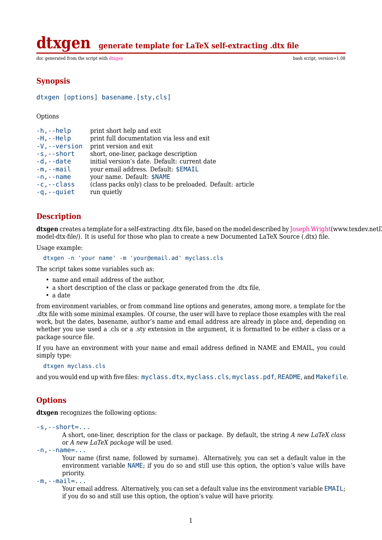**generate template for LaTeX self-extracting .dtx file** 

doc generated from the script with [dtxgen](http://www.dekkerdocumenten.nl/unix/doc/gendoc.html) bash script, version=1.08

#### **Synopsis**

```
dtxgen [options] basename.[sty,cls]
```
**Options** 

| $-h, -h$ elp       | print short help and exit                                  |
|--------------------|------------------------------------------------------------|
| $-H$ , $-Help$     | print full documentation via less and exit                 |
| $-V$ , $-V$ ersion | print version and exit                                     |
| $-s$ , $-$ short   | short, one-liner, package description                      |
| $-d$ , $-d$ ate    | initial version's date. Default: current date              |
| $-m$ , $-mail$     | your email address. Default: \$EMAIL                       |
| $-n$ , $-$ name    | your name. Default: \$NAME                                 |
| $-c$ , $-c$ lass   | (class packs only) class to be preloaded. Default: article |
| $-q$ , $-q$ uiet   | run quietly                                                |

### **Description**

dtxgen creates a template for a self-extracting .dtx file, based on the model described by [Joseph Wright\(](http://Joseph Wright)www.texdev.netI model-dtx-file/). It is useful for those who plan to create a new Documented LaTeX Source (.dtx) file.

Usage example:

dtxgen -n 'your name' -m 'your@email.ad' myclass.cls

The script takes some variables such as:

- name and email address of the author,
- a short description of the class or package generated from the .dtx file,
- a date

from environment variables, or from command line options and generates, among more, a template for the .dtx file with some minimal examples. Of course, the user will have to replace those examples with the real work, but the dates, basename, author's name and email address are already in place and, depending on whether you use used a .cls or a .sty extension in the argument, it is formatted to be either a class or a package source file.

If you have an environment with your name and email address defined in NAME and EMAIL, you could simply type:

```
dtxgen myclass.cls
```
and you would end up with five files: myclass.dtx, myclass.cls, myclass.pdf, README, and Makefile.

#### **Options**

**dtxgen** recognizes the following options:

-s,--short=...

A short, one-liner, description for the class or package. By default, the string *A new LaTeX class* or *A new LaTeX package* will be used.

 $-n, -$ name= $\dots$ 

Your name (first name, followed by surname). Alternatively, you can set a default value in the environment variable NAME; if you do so and still use this option, the option's value wills have priority.

-m,--mail=...

Your email address. Alternatively, you can set a default value ins the environment variable EMAIL; if you do so and still use this option, the option's value will have priority.